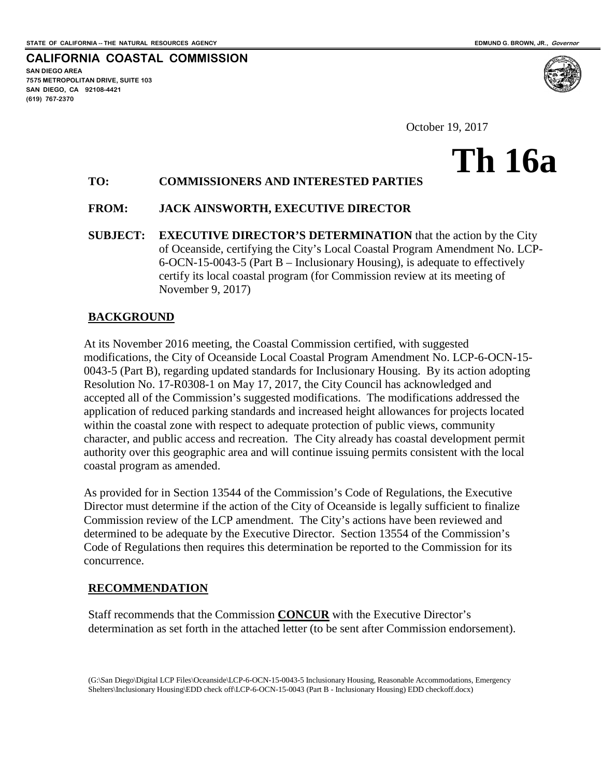**SAN DIEGO AREA**

**(619) 767-2370**

**7575 METROPOLITAN DRIVE, SUITE 103 SAN DIEGO, CA 92108-4421**

**CALIFORNIA COASTAL COMMISSION**

**Th 16a**

October 19, 2017

# **TO: COMMISSIONERS AND INTERESTED PARTIES**

### **FROM: JACK AINSWORTH, EXECUTIVE DIRECTOR**

**SUBJECT: EXECUTIVE DIRECTOR'S DETERMINATION** that the action by the City of Oceanside, certifying the City's Local Coastal Program Amendment No. LCP-6-OCN-15-0043-5 (Part B – Inclusionary Housing), is adequate to effectively certify its local coastal program (for Commission review at its meeting of November 9, 2017)

### **BACKGROUND**

At its November 2016 meeting, the Coastal Commission certified, with suggested modifications, the City of Oceanside Local Coastal Program Amendment No. LCP-6-OCN-15- 0043-5 (Part B), regarding updated standards for Inclusionary Housing. By its action adopting Resolution No. 17-R0308-1 on May 17, 2017, the City Council has acknowledged and accepted all of the Commission's suggested modifications. The modifications addressed the application of reduced parking standards and increased height allowances for projects located within the coastal zone with respect to adequate protection of public views, community character, and public access and recreation. The City already has coastal development permit authority over this geographic area and will continue issuing permits consistent with the local coastal program as amended.

As provided for in Section 13544 of the Commission's Code of Regulations, the Executive Director must determine if the action of the City of Oceanside is legally sufficient to finalize Commission review of the LCP amendment. The City's actions have been reviewed and determined to be adequate by the Executive Director. Section 13554 of the Commission's Code of Regulations then requires this determination be reported to the Commission for its concurrence.

### **RECOMMENDATION**

Staff recommends that the Commission **CONCUR** with the Executive Director's determination as set forth in the attached letter (to be sent after Commission endorsement).